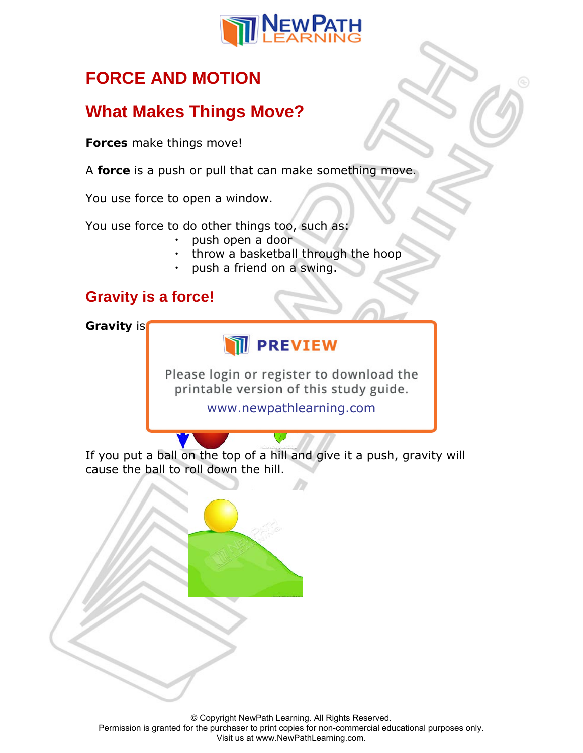

# **FORCE AND MOTION**

# **What Makes Things Move?**

**Forces** make things move!

A **force** is a push or pull that can make something move.

You use force to open a window.

You use force to do other things too, such as:

- push open a door
- throw a basketball through the hoop
- push a friend on a swing.

### **Gravity is a force!**

**Gravity** is

# **IN PREVIEW**

Please login or register to download the printable version of this study guide.

www.newpathlearning.com

If you put a ball on the top of a hill and give it a push, gravity will cause the ball to roll down the hill.

© Copyright NewPath Learning. All Rights Reserved. Permission is granted for the purchaser to print copies for non-commercial educational purposes only. Visit us at www.NewPathLearning.com.